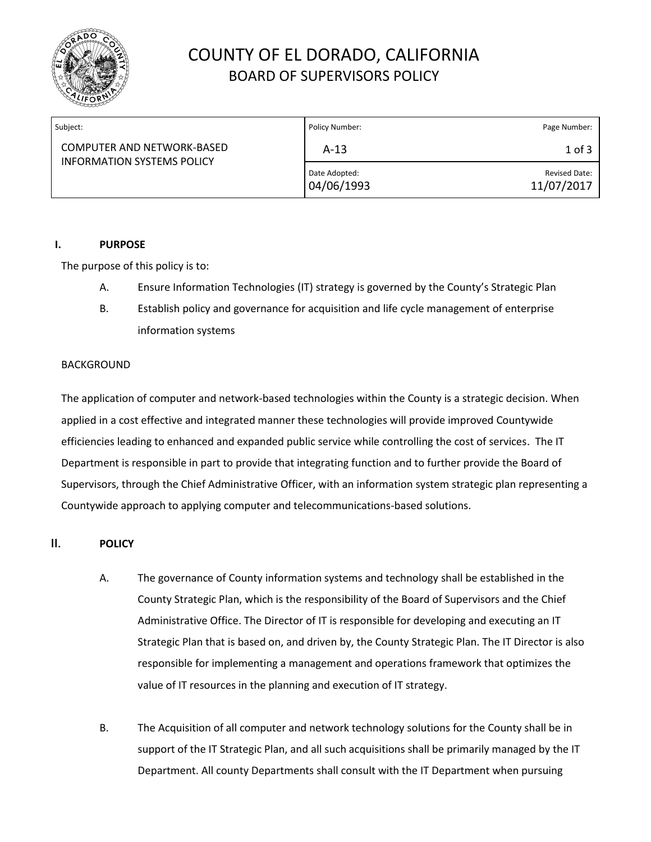

# COUNTY OF EL DORADO, CALIFORNIA BOARD OF SUPERVISORS POLICY

| Subject:                                                        | Policy Number:              | Page Number:                |
|-----------------------------------------------------------------|-----------------------------|-----------------------------|
| COMPUTER AND NETWORK-BASED<br><b>INFORMATION SYSTEMS POLICY</b> | $A-13$                      | $1$ of $3$                  |
|                                                                 | Date Adopted:<br>04/06/1993 | Revised Date:<br>11/07/2017 |

#### **I. PURPOSE**

The purpose of this policy is to:

- A. Ensure Information Technologies (IT) strategy is governed by the County's Strategic Plan
- B. Establish policy and governance for acquisition and life cycle management of enterprise information systems

#### BACKGROUND

The application of computer and network-based technologies within the County is a strategic decision. When applied in a cost effective and integrated manner these technologies will provide improved Countywide efficiencies leading to enhanced and expanded public service while controlling the cost of services. The IT Department is responsible in part to provide that integrating function and to further provide the Board of Supervisors, through the Chief Administrative Officer, with an information system strategic plan representing a Countywide approach to applying computer and telecommunications-based solutions.

### **II. POLICY**

- A. The governance of County information systems and technology shall be established in the County Strategic Plan, which is the responsibility of the Board of Supervisors and the Chief Administrative Office. The Director of IT is responsible for developing and executing an IT Strategic Plan that is based on, and driven by, the County Strategic Plan. The IT Director is also responsible for implementing a management and operations framework that optimizes the value of IT resources in the planning and execution of IT strategy.
- B. The Acquisition of all computer and network technology solutions for the County shall be in support of the IT Strategic Plan, and all such acquisitions shall be primarily managed by the IT Department. All county Departments shall consult with the IT Department when pursuing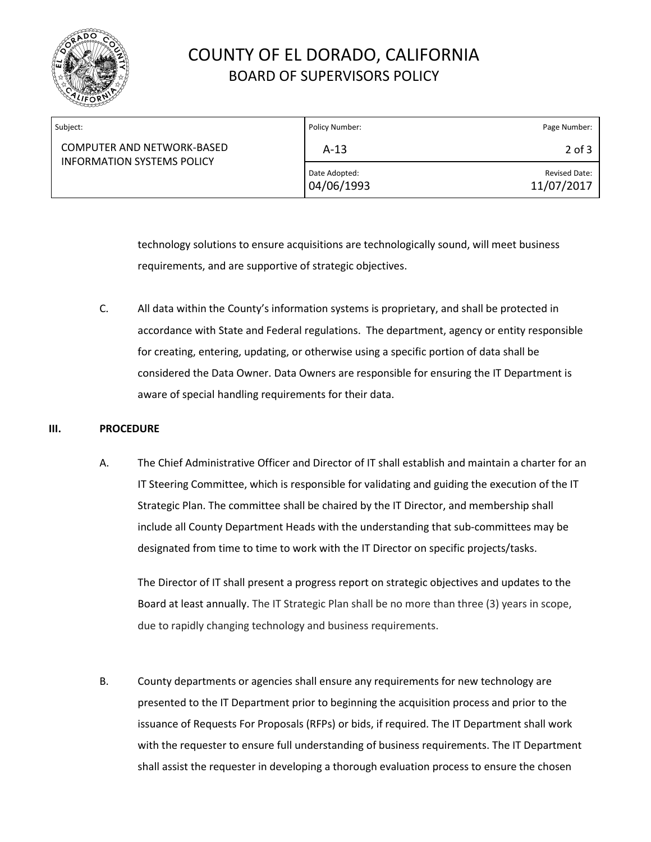

# COUNTY OF EL DORADO, CALIFORNIA BOARD OF SUPERVISORS POLICY

| Subject:                                                               | Policy Number:              | Page Number:                       |
|------------------------------------------------------------------------|-----------------------------|------------------------------------|
| <b>COMPUTER AND NETWORK-BASED</b><br><b>INFORMATION SYSTEMS POLICY</b> | $A-13$                      | $2$ of $3$                         |
|                                                                        | Date Adopted:<br>04/06/1993 | <b>Revised Date:</b><br>11/07/2017 |

technology solutions to ensure acquisitions are technologically sound, will meet business requirements, and are supportive of strategic objectives.

C. All data within the County's information systems is proprietary, and shall be protected in accordance with State and Federal regulations. The department, agency or entity responsible for creating, entering, updating, or otherwise using a specific portion of data shall be considered the Data Owner. Data Owners are responsible for ensuring the IT Department is aware of special handling requirements for their data.

### **III. PROCEDURE**

A. The Chief Administrative Officer and Director of IT shall establish and maintain a charter for an IT Steering Committee, which is responsible for validating and guiding the execution of the IT Strategic Plan. The committee shall be chaired by the IT Director, and membership shall include all County Department Heads with the understanding that sub-committees may be designated from time to time to work with the IT Director on specific projects/tasks.

The Director of IT shall present a progress report on strategic objectives and updates to the Board at least annually. The IT Strategic Plan shall be no more than three (3) years in scope, due to rapidly changing technology and business requirements.

B. County departments or agencies shall ensure any requirements for new technology are presented to the IT Department prior to beginning the acquisition process and prior to the issuance of Requests For Proposals (RFPs) or bids, if required. The IT Department shall work with the requester to ensure full understanding of business requirements. The IT Department shall assist the requester in developing a thorough evaluation process to ensure the chosen